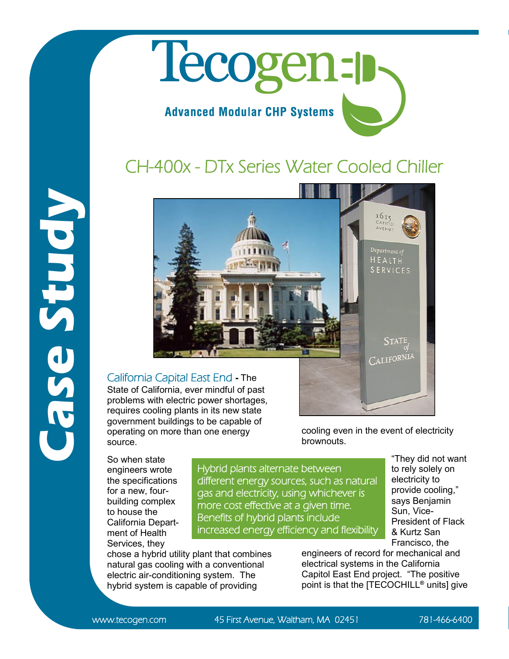## Tecogen-p **Advanced Modular CHP Systems**

## CH-400x - DTx Series Water Cooled Chiller





State of California, ever mindful of past problems with electric power shortages, requires cooling plants in its new state government buildings to be capable of operating on more than one energy source.

chose a hybrid utility plant that combines natural gas cooling with a conventional electric air-conditioning system. The hybrid system is capable of providing

So when state engineers wrote the specifications for a new, fourbuilding complex to house the California Department of Health Services, they

Hybrid plants alternate between different energy sources, such as natural gas and electricity, using whichever is more cost effective at a given time. Benefits of hybrid plants include increased energy efficiency and flexibility

brownouts.

"They did not want to rely solely on electricity to provide cooling," says Benjamin Sun, Vice-President of Flack & Kurtz San Francisco, the

engineers of record for mechanical and electrical systems in the California Capitol East End project. "The positive point is that the [TECOCHILL**®** units] give

cooling even in the event of electricity